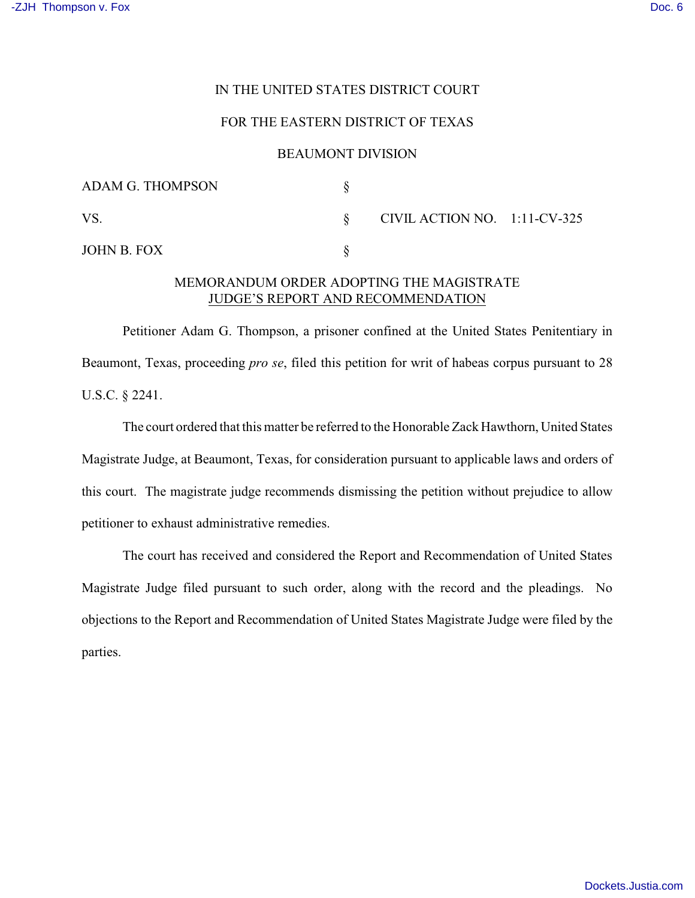### IN THE UNITED STATES DISTRICT COURT

### FOR THE EASTERN DISTRICT OF TEXAS

#### BEAUMONT DIVISION

| <b>ADAM G. THOMPSON</b> |                                 |  |
|-------------------------|---------------------------------|--|
| VS.                     | CIVIL ACTION NO. $1:11$ -CV-325 |  |
| JOHN B. FOX             |                                 |  |

# MEMORANDUM ORDER ADOPTING THE MAGISTRATE JUDGE'S REPORT AND RECOMMENDATION

Petitioner Adam G. Thompson, a prisoner confined at the United States Penitentiary in Beaumont, Texas, proceeding *pro se*, filed this petition for writ of habeas corpus pursuant to 28 U.S.C. § 2241.

The court ordered that this matter be referred to the Honorable Zack Hawthorn, United States Magistrate Judge, at Beaumont, Texas, for consideration pursuant to applicable laws and orders of this court. The magistrate judge recommends dismissing the petition without prejudice to allow petitioner to exhaust administrative remedies.

The court has received and considered the Report and Recommendation of United States Magistrate Judge filed pursuant to such order, along with the record and the pleadings. No objections to the Report and Recommendation of United States Magistrate Judge were filed by the parties.